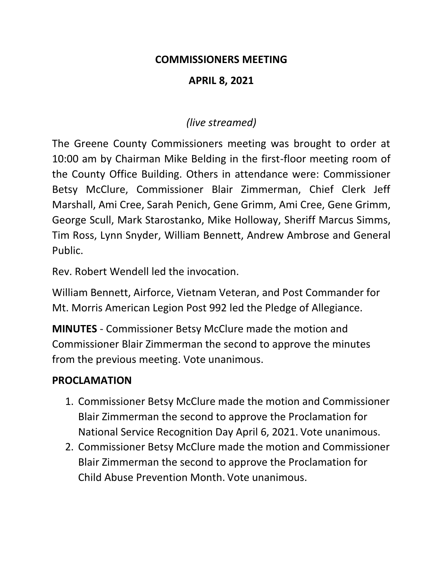#### **COMMISSIONERS MEETING**

### **APRIL 8, 2021**

## *(live streamed)*

The Greene County Commissioners meeting was brought to order at 10:00 am by Chairman Mike Belding in the first-floor meeting room of the County Office Building. Others in attendance were: Commissioner Betsy McClure, Commissioner Blair Zimmerman, Chief Clerk Jeff Marshall, Ami Cree, Sarah Penich, Gene Grimm, Ami Cree, Gene Grimm, George Scull, Mark Starostanko, Mike Holloway, Sheriff Marcus Simms, Tim Ross, Lynn Snyder, William Bennett, Andrew Ambrose and General Public.

Rev. Robert Wendell led the invocation.

William Bennett, Airforce, Vietnam Veteran, and Post Commander for Mt. Morris American Legion Post 992 led the Pledge of Allegiance.

**MINUTES** - Commissioner Betsy McClure made the motion and Commissioner Blair Zimmerman the second to approve the minutes from the previous meeting. Vote unanimous.

### **PROCLAMATION**

- 1. Commissioner Betsy McClure made the motion and Commissioner Blair Zimmerman the second to approve the Proclamation for National Service Recognition Day April 6, 2021. Vote unanimous.
- 2. Commissioner Betsy McClure made the motion and Commissioner Blair Zimmerman the second to approve the Proclamation for Child Abuse Prevention Month. Vote unanimous.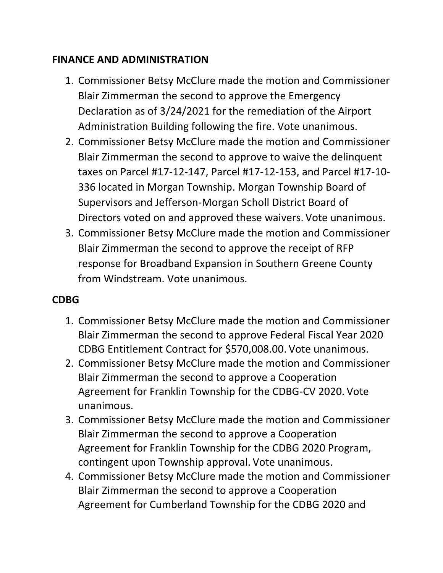### **FINANCE AND ADMINISTRATION**

- 1. Commissioner Betsy McClure made the motion and Commissioner Blair Zimmerman the second to approve the Emergency Declaration as of 3/24/2021 for the remediation of the Airport Administration Building following the fire. Vote unanimous.
- 2. Commissioner Betsy McClure made the motion and Commissioner Blair Zimmerman the second to approve to waive the delinquent taxes on Parcel #17-12-147, Parcel #17-12-153, and Parcel #17-10- 336 located in Morgan Township. Morgan Township Board of Supervisors and Jefferson-Morgan Scholl District Board of Directors voted on and approved these waivers. Vote unanimous.
- 3. Commissioner Betsy McClure made the motion and Commissioner Blair Zimmerman the second to approve the receipt of RFP response for Broadband Expansion in Southern Greene County from Windstream. Vote unanimous.

# **CDBG**

- 1. Commissioner Betsy McClure made the motion and Commissioner Blair Zimmerman the second to approve Federal Fiscal Year 2020 CDBG Entitlement Contract for \$570,008.00. Vote unanimous.
- 2. Commissioner Betsy McClure made the motion and Commissioner Blair Zimmerman the second to approve a Cooperation Agreement for Franklin Township for the CDBG-CV 2020. Vote unanimous.
- 3. Commissioner Betsy McClure made the motion and Commissioner Blair Zimmerman the second to approve a Cooperation Agreement for Franklin Township for the CDBG 2020 Program, contingent upon Township approval. Vote unanimous.
- 4. Commissioner Betsy McClure made the motion and Commissioner Blair Zimmerman the second to approve a Cooperation Agreement for Cumberland Township for the CDBG 2020 and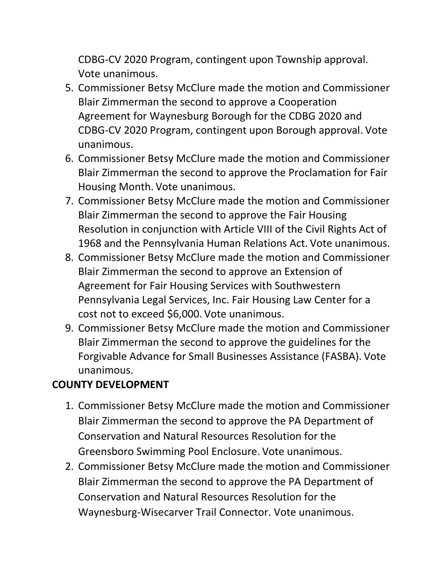CDBG-CV 2020 Program, contingent upon Township approval. Vote unanimous.

- 5. Commissioner Betsy McClure made the motion and Commissioner Blair Zimmerman the second to approve a Cooperation Agreement for Waynesburg Borough for the CDBG 2020 and CDBG-CV 2020 Program, contingent upon Borough approval. Vote unanimous.
- 6. Commissioner Betsy McClure made the motion and Commissioner Blair Zimmerman the second to approve the Proclamation for Fair Housing Month. Vote unanimous.
- 7. Commissioner Betsy McClure made the motion and Commissioner Blair Zimmerman the second to approve the Fair Housing Resolution in conjunction with Article VIII of the Civil Rights Act of 1968 and the Pennsylvania Human Relations Act. Vote unanimous.
- 8. Commissioner Betsy McClure made the motion and Commissioner Blair Zimmerman the second to approve an Extension of Agreement for Fair Housing Services with Southwestern Pennsylvania Legal Services, Inc. Fair Housing Law Center for a cost not to exceed \$6,000. Vote unanimous.
- 9. Commissioner Betsy McClure made the motion and Commissioner Blair Zimmerman the second to approve the guidelines for the Forgivable Advance for Small Businesses Assistance (FASBA). Vote unanimous.

# **COUNTY DEVELOPMENT**

- 1. Commissioner Betsy McClure made the motion and Commissioner Blair Zimmerman the second to approve the PA Department of Conservation and Natural Resources Resolution for the Greensboro Swimming Pool Enclosure. Vote unanimous.
- 2. Commissioner Betsy McClure made the motion and Commissioner Blair Zimmerman the second to approve the PA Department of Conservation and Natural Resources Resolution for the Waynesburg-Wisecarver Trail Connector. Vote unanimous.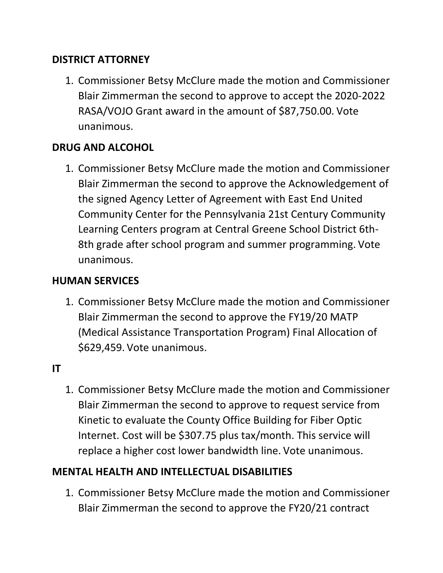### **DISTRICT ATTORNEY**

1. Commissioner Betsy McClure made the motion and Commissioner Blair Zimmerman the second to approve to accept the 2020-2022 RASA/VOJO Grant award in the amount of \$87,750.00. Vote unanimous.

# **DRUG AND ALCOHOL**

1. Commissioner Betsy McClure made the motion and Commissioner Blair Zimmerman the second to approve the Acknowledgement of the signed Agency Letter of Agreement with East End United Community Center for the Pennsylvania 21st Century Community Learning Centers program at Central Greene School District 6th-8th grade after school program and summer programming. Vote unanimous.

#### **HUMAN SERVICES**

1. Commissioner Betsy McClure made the motion and Commissioner Blair Zimmerman the second to approve the FY19/20 MATP (Medical Assistance Transportation Program) Final Allocation of \$629,459. Vote unanimous.

#### **IT**

1. Commissioner Betsy McClure made the motion and Commissioner Blair Zimmerman the second to approve to request service from Kinetic to evaluate the County Office Building for Fiber Optic Internet. Cost will be \$307.75 plus tax/month. This service will replace a higher cost lower bandwidth line. Vote unanimous.

### **MENTAL HEALTH AND INTELLECTUAL DISABILITIES**

1. Commissioner Betsy McClure made the motion and Commissioner Blair Zimmerman the second to approve the FY20/21 contract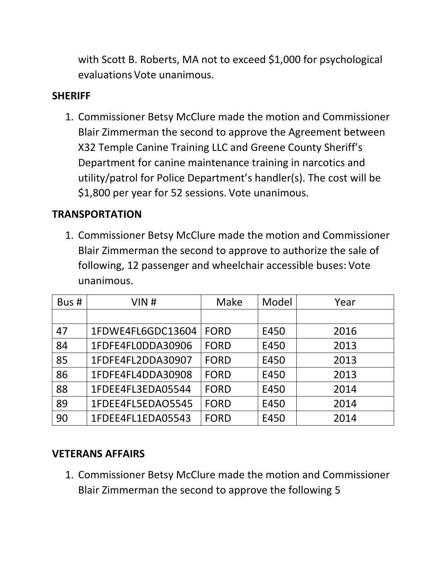with Scott B. Roberts, MA not to exceed \$1,000 for psychological evaluations Vote unanimous.

## **SHERIFF**

1. Commissioner Betsy McClure made the motion and Commissioner Blair Zimmerman the second to approve the Agreement between X32 Temple Canine Training LLC and Greene County Sheriff's Department for canine maintenance training in narcotics and utility/patrol for Police Department's handler(s). The cost will be \$1,800 per year for 52 sessions. Vote unanimous.

# **TRANSPORTATION**

1. Commissioner Betsy McClure made the motion and Commissioner Blair Zimmerman the second to approve to authorize the sale of following, 12 passenger and wheelchair accessible buses: Vote unanimous.

| Bus # | VIN#              | Make        | Model | Year |
|-------|-------------------|-------------|-------|------|
|       |                   |             |       |      |
| 47    | 1FDWE4FL6GDC13604 | <b>FORD</b> | E450  | 2016 |
| 84    | 1FDFE4FL0DDA30906 | <b>FORD</b> | E450  | 2013 |
| 85    | 1FDFE4FL2DDA30907 | <b>FORD</b> | E450  | 2013 |
| 86    | 1FDFE4FL4DDA30908 | <b>FORD</b> | E450  | 2013 |
| 88    | 1FDEE4FL3EDA05544 | <b>FORD</b> | E450  | 2014 |
| 89    | 1FDEE4FL5EDAO5545 | <b>FORD</b> | E450  | 2014 |
| 90    | 1FDEE4FL1EDA05543 | <b>FORD</b> | E450  | 2014 |

#### **VETERANS AFFAIRS**

1. Commissioner Betsy McClure made the motion and Commissioner Blair Zimmerman the second to approve the following 5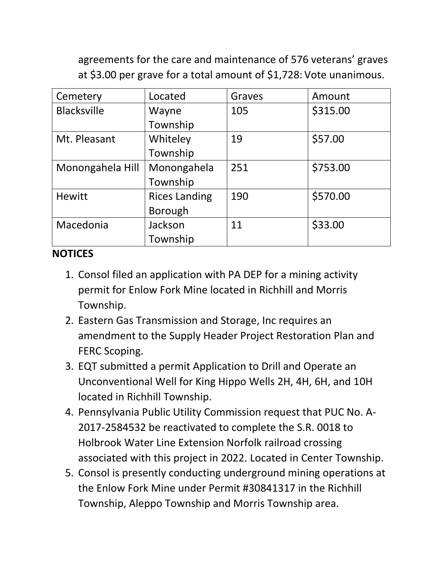agreements for the care and maintenance of 576 veterans' graves at \$3.00 per grave for a total amount of \$1,728: Vote unanimous.

| Cemetery           | Located              | Graves | Amount   |
|--------------------|----------------------|--------|----------|
| <b>Blacksville</b> | Wayne                | 105    | \$315.00 |
|                    | Township             |        |          |
| Mt. Pleasant       | Whiteley             | 19     | \$57.00  |
|                    | Township             |        |          |
| Monongahela Hill   | Monongahela          | 251    | \$753.00 |
|                    | Township             |        |          |
| <b>Hewitt</b>      | <b>Rices Landing</b> | 190    | \$570.00 |
|                    | <b>Borough</b>       |        |          |
| Macedonia          | Jackson              | 11     | \$33.00  |
|                    | Township             |        |          |

#### **NOTICES**

- 1. Consol filed an application with PA DEP for a mining activity permit for Enlow Fork Mine located in Richhill and Morris Township.
- 2. Eastern Gas Transmission and Storage, Inc requires an amendment to the Supply Header Project Restoration Plan and FERC Scoping.
- 3. EQT submitted a permit Application to Drill and Operate an Unconventional Well for King Hippo Wells 2H, 4H, 6H, and 10H located in Richhill Township.
- 4. Pennsylvania Public Utility Commission request that PUC No. A-2017-2584532 be reactivated to complete the S.R. 0018 to Holbrook Water Line Extension Norfolk railroad crossing associated with this project in 2022. Located in Center Township.
- 5. Consol is presently conducting underground mining operations at the Enlow Fork Mine under Permit #30841317 in the Richhill Township, Aleppo Township and Morris Township area.